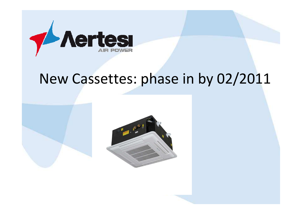

# New Cassettes: phase in by 02/2011

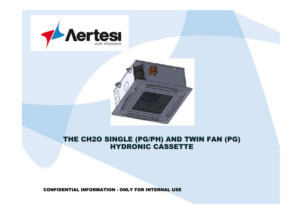



# THE CH2O SINGLE (PG/PH) AND TWIN FAN (PG) HYDRONIC CASSETTE

CONFIDENTIAL INFORMATION - ONLY FOR INTERNAL USE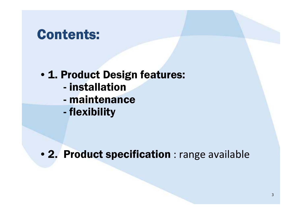# **Contents:**

- 1. Product Design features:
	- installation<br>maintenand
	- maintenance<br>flexibility
	- flexibility

• 2. Product specification : range available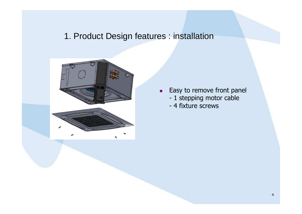#### 1. Product Design features : installation



- $\mathbf{r}$  Easy to remove front panel
	- 1 stepping motor cable<br>- 4 fixture screws
	- 4 fixture screws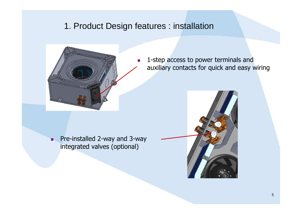#### 1. Product Design features : installation

 $\mathcal{L}_{\mathcal{A}}$ 



 1-step access to power terminals andauxiliary contacts for quick and easy wiring

 Pre-installed 2-way and 3-way integrated valves (optional)

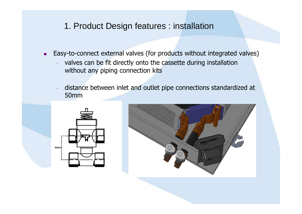#### 1. Product Design features : installation

- $\blacksquare$  Easy-to-connect external valves (for products without integrated valves)
	- valves can be fit directly onto the cassette during installationwithout any piping connection kits
	- distance between inlet and outlet pipe connections standardized at 50mm

![](_page_5_Picture_4.jpeg)

![](_page_5_Picture_5.jpeg)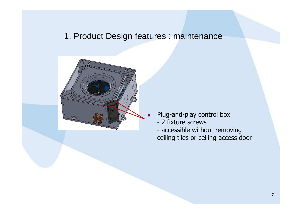![](_page_6_Picture_1.jpeg)

- Plug-and-play control box
- 2 fixture screws<br>- accessible withc
- accessible without removing<br>ceiling tiles or ceiling access c ceiling tiles or ceiling access door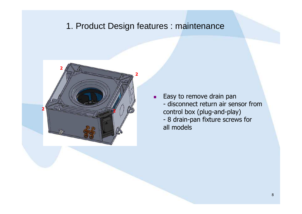![](_page_7_Picture_1.jpeg)

 $\mathbf{u}$  Easy to remove drain pan- disconnect return air sensor from<br>control box (plug-and-play) control box (plug-and-play)- 8 drain-pan fixture screws for<br>all models all models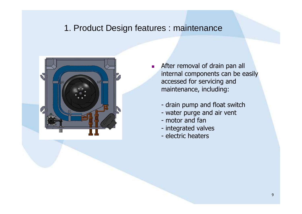![](_page_8_Picture_1.jpeg)

- F. After removal of drain pan all internal components can be easily accessed for servicing and maintenance, including:
	- drain pump and float switch<br>- water purge and air vent
	- water purge and air vent<br>- motor and fan
	- motor and fan
	- integrated valves<br>- electric heaters
	- electric heaters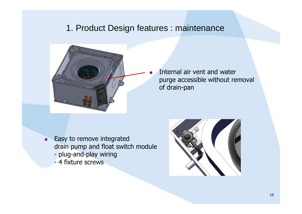![](_page_9_Picture_1.jpeg)

 Internal air vent and water purge accessible without removalof drain-pan

- п Easy to remove integrated drain pump and float switch module
	- plug-and-play wiring<br>- 4 fixture screws
	- 4 fixture screws

![](_page_9_Picture_6.jpeg)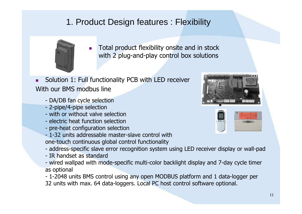![](_page_10_Picture_1.jpeg)

- П Total product flexibility onsite and in stock with 2 plug-and-play control box solutions
- П Solution 1: Full functionality PCB with LED receiver With our BMS modbus line
	- DA/DB fan cycle selection<br>- 2-nine/4-nine selection
	- 2-pipe/4-pipe selection<br>- with or without valve s
	- with or without valve selection<br>- electric beat function selection
	- electric heat function selection<br>- pre-heat configuration selectio
	- pre-heat configuration selection<br>- 1-32 units addressable master-s
	- 1-32 units addressable master-slave control with<br>one-touch continuous alobal control functionality one-touch continuous global control functionality
	- address-specific slave error recognition system using LED receiver display or wall-pad<br>- IR handset as standard
	- IR handset as standard
	- IR handset as standard<br>- wired wallpad with mode-specific multi-color backlight display and 7-day cycle timer<br>as ontional as optional

- 1-2048 units BMS control using any open MODBUS platform and 1 data-logger per<br>32 units with max. 64 data-loggers. Local PC bost control software ontional 32 units with max. 64 data-loggers. Local PC host control software optional.

![](_page_10_Picture_14.jpeg)

![](_page_10_Picture_15.jpeg)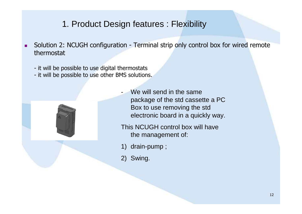- $\blacksquare$  Solution 2: NCUGH configuration - Terminal strip only control box for wired remote thermostat
	- it will be possible to use digital thermostats<br>- it will be possible to use other BMS solution
	- it will be possible to use other BMS solutions.

![](_page_11_Picture_4.jpeg)

- We will send in the same package of the std cassette a PC Box to use removing the std electronic board in a quickly way.
- This NCUGH control box will have the management of:
- 1) drain-pump ;
- 2) Swing.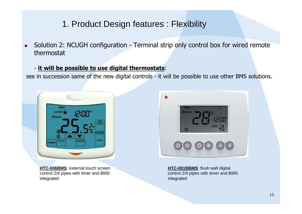$\blacksquare$  Solution 2: NCUGH configuration - Terminal strip only control box for wired remote thermostat

#### - **it will be possible to use digital thermostats**:

see in succession same of the new digital controls - it will be possible to use other BMS solutions.

![](_page_12_Picture_4.jpeg)

**HTC-006BMS**: external touch screen control 2/4 pipes with timer and BMS integrated

![](_page_12_Picture_6.jpeg)

**HTC-001BBMS**: flush wall digital control 2/4 pipes with timer and BMS integrated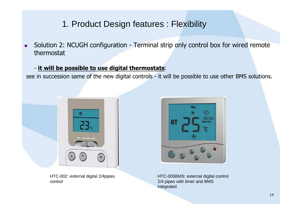$\blacksquare$  Solution 2: NCUGH configuration - Terminal strip only control box for wired remote thermostat

#### - **it will be possible to use digital thermostats**:

see in succession same of the new digital controls - it will be possible to use other BMS solutions.

![](_page_13_Picture_4.jpeg)

HTC-002: external digital 2/4pipes control

![](_page_13_Picture_6.jpeg)

HTC-005BMS: external digital control 2/4 pipes with timer and BMS integrated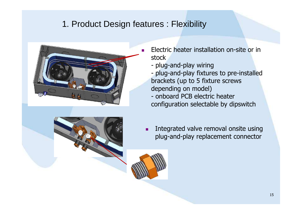![](_page_14_Picture_1.jpeg)

![](_page_14_Picture_2.jpeg)

- $\blacksquare$  Electric heater installation on-site or in stock
	- plug-and-play wiring<br>- plug-and-play fixture
	- plug-and-play fixtures to pre-installed<br>brackets (un to 5 fixture screws brackets (up to 5 fixture screws depending on model)
	- onboard PCB electric heater<br>configuration selectable by dir configuration selectable by dipswitch
	- $\blacksquare$  Integrated valve removal onsite using plug-and-play replacement connector

![](_page_14_Picture_8.jpeg)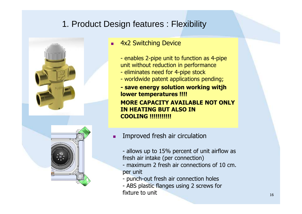![](_page_15_Picture_1.jpeg)

![](_page_15_Picture_2.jpeg)

#### ▔ 4x2 Switching Device

- enables 2-pipe unit to function as 4-pipe<br>unit without reduction in performance unit without reduction in performance
- eliminates need for 4-pipe stock<br>- worldwide patent applications pe
- worldwide patent applications pending;<br>- Casse analysis colution working with

**- save energy solution working witjh lower temperatures !!!!MORE CAPACITY AVAILABLE NOT ONLY IN HEATING BUT ALSO IN COOLING !!!!!!!!!!!**

u Improved fresh air circulation

- allows up to 15% percent of unit airflow as<br>fresh air intake (per connection) fresh air intake (per connection)

- maximum 2 fresh air connections of 10 cm.<br>ner unit per unit

- punch-out fresh air connection holes<br>- ABS plastic flanges using 2 screws fo
- ABS plastic flanges using 2 screws for<br>fixture to unit fixture to unit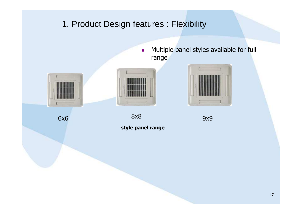![](_page_16_Picture_0.jpeg)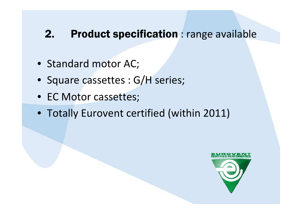## 2. Product specification : range available

- Standard motor AC;
- Square cassettes : G/H series;
- EC Motor cassettes;
- Totally Eurovent certified (within 2011)

![](_page_17_Picture_5.jpeg)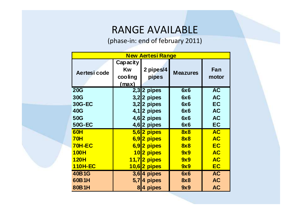## RANGE AVAILABLE

(phase-in: end of february 2011)

| <b>New Aertesi Range</b> |                                           |                    |                 |              |  |  |
|--------------------------|-------------------------------------------|--------------------|-----------------|--------------|--|--|
| Aertesi code             | Capacity<br><b>Kw</b><br>cooling<br>(max) | 2 pipes/4<br>pipes | <b>Meazures</b> | Fan<br>motor |  |  |
| <b>20G</b>               |                                           | $2,3$ 2 pipes      | 6x6             | <b>AC</b>    |  |  |
| <b>30G</b>               |                                           | $3,2$ 2 pipes      | 6x6             | <b>AC</b>    |  |  |
| 30G-EC                   |                                           | $3,2$ 2 pipes      | 6x6             | <b>EC</b>    |  |  |
| 40G                      | 4,1                                       | 2 pipes            | 6x6             | <b>AC</b>    |  |  |
| 50G                      |                                           | $4,6$  2 pipes     | 6x6             | <b>AC</b>    |  |  |
| <b>50G-EC</b>            |                                           | $4,6$  2 pipes     | 6x6             | EC           |  |  |
| 60H                      |                                           | $5,6$  2 pipes     | 8x8             | <b>AC</b>    |  |  |
| <b>70H</b>               |                                           | 6,92 pipes         | 8x8             | <b>AC</b>    |  |  |
| <b>70H-EC</b>            |                                           | 6,92 pipes         | 8x8             | <b>EC</b>    |  |  |
| <b>100H</b>              | <u> 10</u>                                | 2 pipes            | 9x9             | <b>AC</b>    |  |  |
| <b>120H</b>              |                                           | $11,7$  2 pipes    | 9x9             | <b>AC</b>    |  |  |
| <b>110H-EC</b>           |                                           | $10,6$  2 pipes    | 9x9             | <b>EC</b>    |  |  |
| 40B1G                    |                                           | $3,6$   4 pipes    | 6x6             | <b>AC</b>    |  |  |
| 60B1H                    | 5,7                                       | 4 pipes            | <b>8x8</b>      | <b>AC</b>    |  |  |
| 80B1H                    | 8                                         | 4 pipes            | 9x9             | <b>AC</b>    |  |  |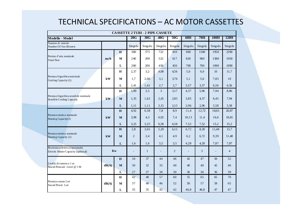#### TECHNICAL SPECIFICATIONS – AC MOTOR CASSETTES

|                                                                                       | <b>CASSETTE 2 TUBI - 2 PIPE CASSETE</b> |                |              |                |                |          |         |                |                |         |
|---------------------------------------------------------------------------------------|-----------------------------------------|----------------|--------------|----------------|----------------|----------|---------|----------------|----------------|---------|
| Modello - Model                                                                       |                                         |                | 20G          | 30G            | 40G            | 50G      | 60H     | <b>70H</b>     | 100H           | 120H    |
| Numero di ventole<br>Number Of Fan Blowers                                            |                                         |                | Singolo      | Singolo        | Singolo        | Singolo  | Singolo | Singolo        | Singolo        | Singolo |
|                                                                                       |                                         | H              | 380          | 575            | 722            | 810      | 960     | 1300           | 1950           | 2290    |
| Portata d'aria nominale<br>Total flow                                                 | m <sub>3</sub> /h                       | $\mathbf{M}$   | 240          | 290            | 522            | 617      | 820     | 960            | 1380           | 1950    |
|                                                                                       |                                         | L              | 200          | 200            | 450            | 450      | 700     | 700            | 1090           | 1090    |
|                                                                                       |                                         | $\mathbf H$    | 2,37         | 3,2            | 4,08           | 4,56     | 5,6     | 6,9            | 10             | 11,7    |
| Potenza frigorifera nominale<br>Cooling Capacity (1)                                  | kW                                      | $\mathbf{M}$   | 1,7          | 2,06           | 3,1            | 3.76     | 5,1     | 5,6            | 7,83           | 10      |
|                                                                                       |                                         | $\mathbf L$    | 1,41         | 1,41           | 2,7            | 2,7      | 3,57    | 3,57           | 6,56           | 6,56    |
|                                                                                       |                                         | $\bf H$        | 1,89         | 2,5            | 3              | 3,17     | 4,37    | 5,06           | 7,94           | 8,86    |
| Potenza frigorifera sensibile nominale<br>Sensible Cooling Capacity                   | kW                                      | M              | 1,35         | 1,62           | 2,45           | 2,85     | 3,85    | 4,37           | 6,45           | 7,94    |
|                                                                                       |                                         | ${\bf L}$      | 1,11         | 1,11           | 2,15           | 2,15     | 2,96    | 2,96           | 5,58           | 5,58    |
|                                                                                       |                                         | H              | 4,92         | 6,58           | 7,8            | 8,9      | 11,4    | 12,72          | 18,65          | 20,87   |
| Potenza termica nominale<br>Heating Capacity $(3)$                                    | kW                                      | $M$            | 3,98         | 4,3            | 6,92           | 7,4      | 10,13   | 11,4           | 16.6           | 18,65   |
|                                                                                       |                                         | L              | 3,25         | 3,25           | 6,58           | 6,58     | 7,52    | 7,52           | 15,2           | 15,2    |
|                                                                                       |                                         | H              | 2,8          | 3,65           | 5,29           | 6,15     | 6,72    | 8,28           | 11,48          | 13,7    |
| Potenza termica nominale<br>Heating Capacity (2)                                      | kW                                      | M              | 2            | 2,4            | 4,1            | 4,9      | 6,2     | 6,72           | 9.39           | 11,48   |
|                                                                                       |                                         | L              | 1,6          | 1,6            | 3,5            | 3,5      | 4,28    | 4,28           | 7,87           | 7,87    |
| Resistenza elettrica (opzionale)<br><b>Kw</b><br>Electric Heater Capacity (option al) |                                         | $\blacksquare$ | $\mathbf{1}$ | $\blacksquare$ | $\overline{2}$ | $\equiv$ | 3       | $\overline{a}$ | $\overline{4}$ |         |
|                                                                                       |                                         | $\bf H$        | 34           | 37             | 44             | 46       | 42      | 47             | 50             | 52      |
| Livello di rumore a 1 m<br>Sound Pressure Level @ 1 M                                 | dB(A)                                   | $M$            | 30           | 32             | 35             | 40       | 40      | 40             | 42             | 46      |
|                                                                                       |                                         | L              | 27           | 27             | 30             | 30       | 36      | 36             | 36             | 39      |
|                                                                                       |                                         | $\mathbf H$    | 42           | 48             | 57             | 60       | 55      | 65             | 65             | 70      |
| Potenza sonora Lwi<br>Sound Power Lwi                                                 | dB(A)                                   | М              | 37           | 40             | 46             | 52       | 50      | 57             | 58             | 65      |
|                                                                                       |                                         | L              | 35           | 35             | 42             | 42       | 46,8    | 46,8           | 47             | 47      |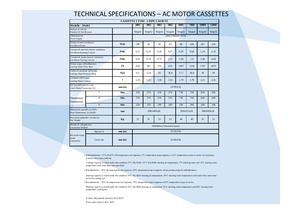#### TECHNICAL SPECIFICATIONS – AC MOTOR CASSETTES

|                                                               | <b>CASSETTE 2 TUBI - 2 PIPE CASSETE</b>  |                |                           |         |         |                      |         |            |         |         |
|---------------------------------------------------------------|------------------------------------------|----------------|---------------------------|---------|---------|----------------------|---------|------------|---------|---------|
| Modello - Model                                               |                                          |                | 20G                       | 30G     | 40G     | 50G                  | 60H     | 70H        | 100H    | 120H    |
| Numero di ventole<br>Number Of Fan Blowers                    |                                          |                | Singolo                   | Singolo | Singolo | Singolo              | Singolo | Singolo    | Singolo | Singolo |
| Alimentazi one<br>Power Supply                                |                                          |                |                           |         |         | 230V/1 PHASE / 50 Hz |         |            |         |         |
| Potenza motore ventilatore<br>Fan Motor Power                 |                                          | <b>Watt</b>    | 38                        | 50      | 56      | 85                   | 89      | 146        | 267     | 310     |
| Fan Motor Running Current                                     | Corrente di esercizio motore ventilatore | Amp.           | 0,17                      | 0,26    | 0,24    | 0,37                 | 0,36    | 0.64       | 1,16    | 1,35    |
| Fan Mot or Starting Current                                   | Corrente di spunto motore ventilatore    | Amp.           | 0.51                      | 0,78    | 0,72    | 1,11                 | 1,08    | 1,9        | 3,48    | 4,04    |
| Portata acqua raffreddamento<br>Cooling Water Flow Rate       |                                          | V <sub>h</sub> | 419                       | 601     | 753     | 810                  | 1047    | 1226       | 1767    | 2073    |
| Caduta di pressione dell'acqua<br>Cooling Water Pressure Drop |                                          | Kpa            | 6,5                       | 12,8    | 30      | 36,8                 | 27,7    | 36,9       | 38      | 49      |
| Contenuto dell'acqua<br>Cooling Water Content                 |                                          | l              | 1,25                      | 1,25    | 1,56    | 1,56                 | 1,78    | 1,78       | 2,41    | 2,41    |
| D.I. raccordo scarico cond.<br>Con d. Drain Connection I.D.   |                                          | mm(in)         | 19.05(3/4)                |         |         |                      |         |            |         |         |
|                                                               | L                                        | Mm             | 570                       | 570     | 570     | 570                  | 730     | 730        | 830     | 830     |
| Dimensioni<br>Dimensions                                      | W                                        | Mm             | 570                       | 570     | 570     | 570                  | 730     | 730        | 830     | 830     |
|                                                               | D                                        | Mm             | 250                       | 250     | 290     | 290                  | 290     | 290        | 290     | 290     |
| Dimensioni pan nello (LxAxP)<br>Panel Dimensions (LxWxH)      |                                          | mm             | 680×680×28                |         |         | 830×830×28           |         | 980x980x28 |         |         |
| Peso lordo (pannello+ involucro)<br>Net Weight                |                                          | Kg             | 31                        | 31      | 33      | 33                   | 40      | 40         | 55      | 55      |
| Metodo di collegamento<br>Connection Method                   |                                          |                | FEMMINA (Threaded Female) |         |         |                      |         |            |         |         |
| Ingresso In                                                   |                                          | $mm$ $(in)$    |                           |         |         | 19.05(3/4)           |         |            |         |         |
| Raccordo acqua<br>Water<br>Connection                         | Uscita Out                               | $mm$ $(in)$    | 19.05(3/4)                |         |         |                      |         |            |         |         |

1Raffreddamento : 27°C d b/47% UR temperatura aria ingresso, 7°C temperatu ra acqua ingresso e 12°C temperatura acqua in uscita con la p ortata d'acqua come sopra indicata

Cooling Capacity is tested under the condition 27°C Dry Bulb / 19°C Wet Bulb entering air temperature, 7°C entering water and 12°C leaving water temperature with water flow rates specified.

2Riscaldamento : 20 °C db temp eratura aria ingresso, 50°C temperatura acqua ingresso, stessa portata acqua di raffeddamento

Heating Capacity is tested under the condition 20°C Dry Bulb entering air temperature,  $50^{\circ}$ C entering water temperature with water flow rates same as for the cooling test.

3Riscaldamento : 20 °C db temp eratura aria ingresso, 70°C temperatura acqua ingresso e 6 0°C temperatura acqua in uscita.

Heating Capacity is tested under th e condition 20°C Dry Bulb entering air temperature 70°C entering water temperature and 60°C leaving water temperature cooling test.

Il colore del p annello frontale è RAL 9010

Front p anel colour is RAL 9010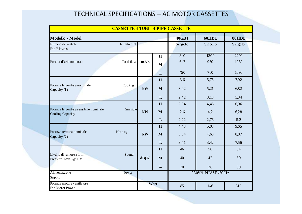#### TECHNICAL SPECIFICATIONS – AC MOTOR CASSETTES

|                                                            | <b>CASSETTE 4 TUBI - 4 PIPE CASSETTE</b> |       |              |         |                     |              |
|------------------------------------------------------------|------------------------------------------|-------|--------------|---------|---------------------|--------------|
| Modello - Model                                            |                                          |       |              | 40GB1   | <b>60HB1</b>        | <b>80HB1</b> |
| Numero di ventole                                          | Number Of                                |       |              | Singolo | Singolo             | Singolo      |
| Fan Blowers                                                |                                          |       |              |         |                     |              |
|                                                            |                                          |       | H            | 810     | 1300                | 2290         |
| Portata d'aria nomin ale                                   | Total flow                               | m3/h  | $\mathbf{M}$ | 617     | 960                 | 1950         |
|                                                            |                                          |       |              |         |                     |              |
|                                                            |                                          |       | $\mathbf{L}$ | 450     | 700                 | 1090         |
|                                                            |                                          |       | H            | 3,6     | 5,75                | 7,92         |
| Potenza frigorifera nominale<br>Capacity (1)               | Cooling                                  | kW    | $\mathbf{M}$ | 3,02    | 5,21                | 6,82         |
|                                                            |                                          |       | L            | 2,42    | 3,18                | 5,34         |
|                                                            |                                          |       | H            | 2,94    | 4,46                | 6,96         |
| Potenza frigorifera sensibile nominale<br>Cooling Capacity | Sen sible                                | kW    | $\mathbf{M}$ | 2,6     | 4,2                 | 6,28         |
|                                                            |                                          |       | L            | 2,22    | 2,76                | 5,2          |
|                                                            |                                          |       | H            | 4,43    | 5,03                | 9,65         |
| Potenza termica nominale<br>Capacity (2)                   | Heating                                  | kW    | $\mathbf{M}$ | 3,84    | 4,63                | 8,87         |
|                                                            |                                          |       | $\mathbf{L}$ | 3,41    | 3,42                | 7,56         |
|                                                            |                                          |       | H            | 46      | 50                  | 54           |
| Livello di rumore a 1 m<br>Pressure Level @ 1 M            | Sound                                    | dB(A) | $\mathbf{M}$ | 40      | 42                  | 50           |
|                                                            |                                          |       | $\mathbf{L}$ | 30      | 36                  | 39           |
| Alimentazione<br>Su pply                                   | Power                                    |       |              |         | 230V/1 PHASE /50 Hz |              |
| Potenza motore ventilatore                                 |                                          |       | Watt         |         |                     |              |
| Fan Motor Power                                            |                                          |       |              | 85      | 146                 | 310          |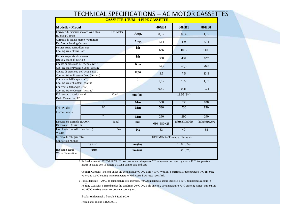#### TECHNICAL SPECIFICATIONS <u>- SPECIFICATIONS — AC MOTOR CASSETTES</u><br><del>cassette 4 tubi -4 pipe cassette</del>

| Modello - Model                                                                 |                |              | 40GB1                     | <b>60HB1</b> | <b>80HB1</b> |
|---------------------------------------------------------------------------------|----------------|--------------|---------------------------|--------------|--------------|
| Corrente di esercizio motore venti latore<br>Running Current                    | Fan Motor      | Amp.         | 0,37                      | 0,64         | 1,35         |
| Corrente di spunto motore ventilatore<br>Fan Motor Starting Current             |                | Amp.         | 1,11                      | 1,9          | 4,04         |
| Portata acqua raffreddamento<br>Cooling Water Flow Rate                         |                | 1/h          | 636                       | 1007         | 1400         |
| Portata acqua riscald amento<br>Heating Water Flow Rate                         |                | 1/h          | 380                       | 431          | 827          |
| Caduta di pressione dell'acqua (raff.)<br>Cooling Water Pressure Drop (cooling) |                | Kpa          | 14,7                      | 40,3         | 26,8         |
| Caduta di pressione dell'acqua (risc.)<br>Cooling Water Pressure Drop (heating) |                | Kpa          | 3,5                       | 7,5          | 13,3         |
| Contenuto dell'acqua (raff.)<br>Cooling Water Content (cooling)                 |                | 1            | 1,07                      | 1,37         | 1,67         |
| Contenuto dell'acqua (risc.)<br>Cooling Water Content (heating)                 |                | $\mathbf{I}$ | 0,49                      | 0,41         | 0,74         |
| D.I. raccordo scarico cond.<br>Drain Connection I.D.                            | Cond.          | mm(m)        |                           | 19.05(3/4)   |              |
|                                                                                 | $\overline{L}$ | Mm           | 580                       | 730          | 830          |
| Dimensioni<br>Dimensions                                                        | W              | Mm           | 580                       | 730          | 830          |
|                                                                                 | D              | Mm           | 290                       | 290          | 290          |
| Dimensioni pan nello (LxAxP)<br>Dimensions (LxWxH)                              | Panel          | mm           | 680×680×28                | 830x830x260  | 980x980x290  |
| Peso lordo (pannello+ involucro)<br>Weight                                      | <b>Net</b>     | Kg           | 33                        | 40           | 55           |
| Metodo di collegamento<br>Connection Method                                     |                |              | FEMMINA (Threaded Female) |              |              |
|                                                                                 | Ingresso       | mm(in)       |                           | 19.05(3/4)   |              |
| Raccordo acqua<br><b>Water Connection</b>                                       | Uscita         | mm(in)       |                           | 19.05(3/4)   |              |

1Raffreddamento : 27°C db/4 7% UR temperatura aria ingresso, 7°C temperatura acqua ingresso e 12°C temperatura acqua in uscita con la portata d'acqua come sopra indicata

Coolin g Capacity is tested under the condition 27°C Dry Bulb / 19°C Wet Bulb entering air temperature, 7°C entering water and  $12^{\circ}$ C leaving water temperature with water flow rates specified.

2 Riscaldamento : 20°C db temperatura aria ingresso, 70°C temperatura acqua ingresso e 60°C temperatura acqua in

Heating Capacity is tested under the condition 20 °C Dry Bulb entering air temperature 70°C entering water temperature and 60°C leaving water temperature cooling test.

Il colore del pannello frontale è RAL 9010

Front panel colour is RAL 9010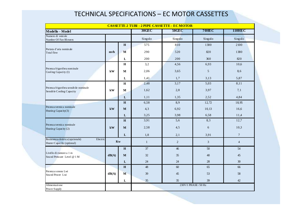#### TECHNICAL SPECIFICATIONS – EC MOTOR CASSETTES

| <b>CASSETTE 2 TUBI - 2 PIPE CASSETTE - ECMOTOR</b>                         |                   |              |              |                |                      |                |
|----------------------------------------------------------------------------|-------------------|--------------|--------------|----------------|----------------------|----------------|
| Modello - Model                                                            |                   |              | 30GEC        | <b>50GEC</b>   | <b>70HEC</b>         | <b>110HEC</b>  |
| Numero di ventole<br>Number Of Fan Blowers                                 |                   |              | Singolo      | Singolo        | Singolo              | Singolo        |
|                                                                            |                   | $\mathbf H$  | 575          | 810            | 1300                 | 2100           |
| Portata d'aria nominale<br><b>Total flow</b>                               | m <sub>3</sub> /h | M            | 290          | 520            | 820                  | 1380           |
|                                                                            |                   | ${\bf L}$    | 200          | 200            | 360                  | 820            |
|                                                                            |                   | $\bf H$      | 3,2          | 4,56           | 6,93                 | 10,6           |
| Potenza frigorifera nominale<br>Cooling Capacity (1)                       | kW                | $\mathbf M$  | 2,06         | 3,65           | 5                    | 8,6            |
|                                                                            |                   | $\mathbf L$  | 1,41         | 1,7            | 3,13                 | 5,87           |
|                                                                            |                   | $\mathbf H$  | 2,48         | 3,17           | 5,03                 | 8,11           |
| Potenza frigorifera sensibile nominale<br>Sensible Cooling Capacity        | kW                | M            | 1,62         | 2,8            | 3,97                 | 7,1            |
|                                                                            |                   | ${\bf L}$    | 1,11         | 1,35           | 2,52                 | 4,84           |
|                                                                            |                   | H            | 6,58         | 8,9            | 12,72                | 18,95          |
| Potenza termica nominale<br>Heating Capacity(3)                            | kW                | M            | 4,3          | 6,92           | 10,13                | 16,6           |
|                                                                            |                   | ${\bf L}$    | 3,25         | 3,98           | 6,58                 | 11,4           |
|                                                                            |                   | H            | 3,91         | 5,6            | 8,3                  | 12,7           |
| Potenza termica nominale<br>Heating Capacity (2)                           | ${\bf kW}$        | $\mathbf{M}$ | 2,58         | 4, 5           | 6                    | 10,3           |
|                                                                            |                   | $\mathbf{L}$ | 1,8          | 2,1            | 3,91                 | $\overline{7}$ |
| Resistenza elettrica (opzionale)<br>Electric<br>Heater Capacity (optional) | Kw                |              | $\mathbf{1}$ | $\overline{c}$ | $\mathfrak{Z}$       | $\overline{4}$ |
|                                                                            |                   | H            | 37           | 46             | 50                   | 54             |
| Livello di rumore a 1 m<br>Sound Pressure Level @ 1 M                      | dB(A)             | $\mathbf M$  | 32           | 35             | 40                   | 45             |
|                                                                            |                   | ${\bf L}$    | 24           | 24             | $28\,$               | $30\,$         |
|                                                                            |                   | $\mathbf H$  | 48           | 60             | 65                   | 66             |
| Potenza sonora Lwi<br>Sound Power Lwi                                      | dB(A)             | $\mathbf{M}$ | 39           | 45             | 53                   | 58             |
|                                                                            |                   | $\bf L$      | 35           | 35             | 39                   | 42             |
| Alimentazi one<br>Power Supply                                             |                   |              |              |                | 230V/1 PHASE / 50 Hz |                |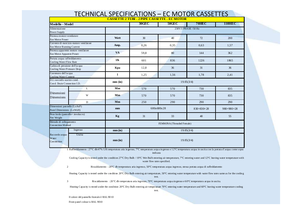|                                                                        |             | 30GEC      | <b>50GEC</b>               | 70HEC                | <b>110HEC</b> |
|------------------------------------------------------------------------|-------------|------------|----------------------------|----------------------|---------------|
| Modello - Model                                                        |             |            |                            |                      |               |
| Alimentazi one<br>Power Supply                                         |             |            |                            | 230V/1 PHASE / 50 Hz |               |
| Potenza motore ventilatore<br>Fan Motor Power                          | Watt        | 30         | 40                         | 72                   | 200           |
| Corrente di esercizio motore venti latore<br>Fan Motor Running Current | Amp.        | 0,26       | 0,35                       | 0,63                 | 1,57          |
| Potenza apparente motore venti latore<br>Fan Motor Apparent Power      | <b>VA</b>   | 59,8       | 80                         | 144                  | 362           |
| Portata acqua raffreddamento<br>Cooling Water Flow Rate                | 1/h         | 601        | 836                        | 1226                 | 1865          |
| Caduta di pressione dell'acqua<br>Cooling Water Pressure Drop          | Kpa         | 12,8       | 36                         | 31                   | 36            |
| Contenuto dell'acqua<br>Cooling Water Content                          | 1           | 1,25       | 1,56                       | 1,78                 | 2,41          |
| D.I. raccordo scarico cond.<br>Cond. Drain Connection I.D.             | $mm$ (in)   |            |                            | 19.05(3/4)           |               |
| L                                                                      | Mm          | 570        | 570                        | 730                  | 835           |
| Dimensioni<br>W<br>Dimensions                                          | Mm          | 570        | 570                        | 730                  | 835           |
| D                                                                      | Mm          | 250        | 290                        | 290                  | 290           |
| Dimensioni pan nello (LxAxP)<br>Panel Dimensions (LxWxH)               | mm          | 680×680×28 |                            | 830×830×28           | 980×980×28    |
| Peso lordo (pannello+ involucro)<br>Net Weight                         | Kg          | 31         | 33                         | 40                   | 55            |
| Metodo di collegamento<br>Connection Method                            |             |            | FEMM INA (Threaded Female) |                      |               |
| Ingresso                                                               | $mm$ $(in)$ |            |                            | 19.05(3/4)           |               |
| Uscita<br>Raccordo acqua<br>Water<br>Connection                        | $mm$ $(in)$ |            |                            | 19.05(3/4)           |               |

#### TECHNICAL SPECIFICATIONS – EC MOTOR CASSETTES

1Raffreddamento : 27°C db/47% UR temperatura aria ingresso, 7°C temperatura acqua ingresso e 12°C temperatura acqua in uscita con la portata d'acqua come sopra indicata

Cooling Capacity is tested under the condition 27°C Dry Bulb / 19°C Wet Bulb entering air temperature, 7°C entering water and 12°C leaving water temperature with water flow rates specified.

2

Riscaldamento : 20°C db temperatura aria ingresso, 50°C temperatura acqua ingresso, stessa portata acqua di raffeddamento

Heating Capacity is tested under the condition 20°C Dry Bulb entering air temperature, 50°C entering water temperature with water flow rates same as for the cooling test.

3

Riscaldamento : 20°C db temperatura aria ingresso, 70°C temperatura acqua ingresso e 60°C temperatura acqua in uscita.

Heating Capacity is tested under the condition 20°C Dry Bulb entering air temperature 70°C entering water temperature and 60°C leaving water temperature cooling

test.

Il colore del pannello frontale è RAL 9010

Front panel colour is RAL 9010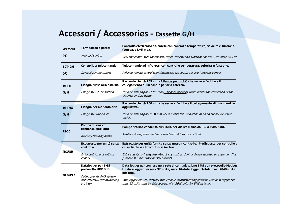#### **Accessori / Accessories - Cassette G/H**

| <b>WPC-GH</b>  | Termostato a parete                                                | Controllo elettronico da parete con controllo temperatura, velocità e funzione<br>(con cavo $L=5$ mt.).                                                                   |
|----------------|--------------------------------------------------------------------|---------------------------------------------------------------------------------------------------------------------------------------------------------------------------|
| (4)            | Wall pad control                                                   | Wall pad control with thermostat, speed selector and functions control (with cable $L = 5$ m)                                                                             |
| <b>SCT-GH</b>  | Controllo a telecomando                                            | Telecomando ad infrarossi con controllo temperatura, velocità e funzione.                                                                                                 |
| (4)            | Infrared remote control                                            | Infrared remote control with thermostat, speed selector and functions control.                                                                                            |
| #FLAE          | Flangia presa aria esterna                                         | Raccordo circ. Ø 105 mm (2 flange per unità) che serve a facilitare il<br>collegamento di un canale per aria esterna.                                                     |
| G/H            | Flange for ext. air suction                                        | It's a circular spigot $\varnothing$ 105 mm (2 flanges per unit) which makes the connection of the<br>external air duct easier.                                           |
|                | Flangia per mandata aria                                           | Raccordo circ. Ø 100 mm che serve a facilitare il collegamento di una mand. ari<br>aggiun tiva.                                                                           |
| #FLMA          |                                                                    |                                                                                                                                                                           |
| G/H            | Flange for outlet duct                                             | It's a circular spigot $\emptyset$ 100 mm which makes the connection of an additional air outlet<br>easier.                                                               |
| <b>PSCC</b>    | Pompa di scarico<br>condensa au siliaria                           | Pompa scarico condensa ausiliaria per dislivelli fino da 0,5 a max. 5 mt.                                                                                                 |
|                | <b>Auxiliary Draining pump</b>                                     | Auxiliary drain pump used for a head from 0,5 to max of 5 mt.                                                                                                             |
|                | Extracosto per unità senza<br>controllo                            | Extracosto per unità fornita senza nessun controllo. Predisposta per controllo a<br>cura cliente o altro controllo Aertesi                                                |
| <b>NCUGH</b>   | Extra cost for unit without<br>control                             | Extra cost for unit supplied without any control. Control device supplied by customer. It is<br>possible to order other Aertesi controls.                                 |
|                | Datalog ger per BMS<br>protocollo MOD BUS                          | Data logger per connessine a rete di comunicazione BMS con protocollo Modbu:<br>Un data logger per max.32 unità, max. 64 data logger. Totale max. 2048 unità<br>per rete. |
| <b>DLBMS 1</b> | Datalogger for BMS system<br>with MODBUS communicating<br>protocol | Data logger for BMS network with Modbus communicating protocol. One data logger per<br>max. 32 units, max.64 data loggers. Max.2048 units for BMS network.                |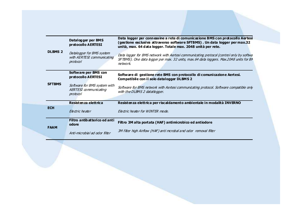|                | Datalog ger per BMS<br>protocollo AERTESI                           | Data logger per connessine a rete di comunicazione BMS con protocollo Aertesi<br>(gestione esclusiva attraverso software SFTBMS). Un data logger per max.32<br>unità, max. 64 data logger. Totale max. 2048 unità per rete. |
|----------------|---------------------------------------------------------------------|-----------------------------------------------------------------------------------------------------------------------------------------------------------------------------------------------------------------------------|
| <b>DLBMS 2</b> | Datalogger for BMS system<br>with AERTESI communicating<br>protocol | Data logger for BMS network with Aertesi communicating protocol (control only by softwa<br>SFTBMS). One data logger per max. 32 units, max.64 data loggers. Max.2048 units for BN<br>network                                |
|                | Software per BMS con<br>protocollo AERTESI                          | Software di gestione rete BMS con protocollo di comunicazione Aertesi.<br><b>Compatibile con il solo datalogger DLBMS 2</b>                                                                                                 |
| <b>SFTBMS</b>  | Software for BMS system with<br>AERTESI communicating<br>protocol   | Software for BMS network with Aertesi communicating protocol. Software compatible only<br>with the DLBMS 2 datatlogger.                                                                                                     |
|                | Resistenza elettrica                                                | Resistenza elettrica per riscaldamento ambientale in modalità INVERNO                                                                                                                                                       |
| <b>ECH</b>     | <b>Flectric heater</b>                                              | Electric heater for WINTER mode.                                                                                                                                                                                            |
| <b>FAAM</b>    | Filtro antibatterico ed anti<br>odore                               | Filtro 3M alta portata (HAF) antimicrobico ed antiodore                                                                                                                                                                     |
|                | Anti-microbial ad odor filter                                       | 3M filter high Airflow (HAF) anti mcrobal and odor removal filter                                                                                                                                                           |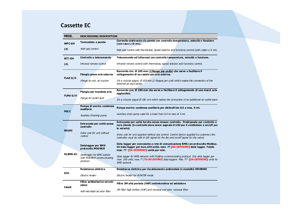#### **Cassette EC**

| MOD.            | <b>DESCRIZIONE/DESCRIPTION</b>                                     |                                                                                                                                                                                                       |  |  |  |  |
|-----------------|--------------------------------------------------------------------|-------------------------------------------------------------------------------------------------------------------------------------------------------------------------------------------------------|--|--|--|--|
| <b>WPC-GH</b>   | Termostato a parete                                                | Controllo elettronico da parete con controllo temperatura, velocità e funzione<br>(con cavo L=5 mt.).                                                                                                 |  |  |  |  |
| (4)             | Wall pad control                                                   | Wall pad control with thermostat, speed selector and functions control (with cable $L = 5$ mt).                                                                                                       |  |  |  |  |
| <b>SCT-GH</b>   | Controllo a telecomando                                            | Telecomando ad infrarossi con controllo temperatura, velocità e funzione.                                                                                                                             |  |  |  |  |
| (4)             | Infrared remote control                                            | Infrared remote control with thermostat, speed selector and functions control.                                                                                                                        |  |  |  |  |
|                 | Flangia presa aria esterna                                         | Raccordo circ. Ø 105 mm (2 flange per unità) che serve a facilitare il<br>collegamento di un canale per aria esterna.                                                                                 |  |  |  |  |
| <b>FLAE G/H</b> | Flange for ext. air suction                                        | It's a circular spigot $\lhd$ 105 mm (2 flanges per unit) which makes the connection of the<br>external air duct easier.                                                                              |  |  |  |  |
| <b>FLMA G/H</b> | Flangia per mandata aria                                           | Raccordo circ. Ø 100 mm che serve a facilitare il collegamento di una mand. aria<br>aggiuntiva.                                                                                                       |  |  |  |  |
|                 | Flange for outlet duct                                             | It's a circular spigot Ø100 mm which makes the connection of an additional air outlet easie                                                                                                           |  |  |  |  |
|                 | Pompa di scarico condensa<br>ausiliaria                            | Pompa scarico condensa ausiliaria per dislivelli da 0,5 a max. 5 mt.                                                                                                                                  |  |  |  |  |
| <b>PSCC</b>     | Auxiliary Draining pump                                            | Auxiliary drain pump used for a head from 0,5 to max of 5 mt.                                                                                                                                         |  |  |  |  |
| <b>NCUEC</b>    | Extracosto per unità senza<br>controllo                            | Extracosto per unità fornita senza nessun controllo. Predisposta per controllo a<br>cura cliente (in controllo deve avere segnale 0-10V per il ventilatore e on/off per<br>la valvola)                |  |  |  |  |
|                 | Extra cost for unit without<br>control                             | Extra cost for unit supplied without any control. Control device supplied by customer (the<br>controller must be with 0-10V signal for the fan and on/off signal for the valve)                       |  |  |  |  |
|                 | Datalogger per BMS<br>protocollo MOD BUS                           | Data logger per connessine a rete di comunicazione BMS con protocollo Modbus.<br>Un data logger per max.160 unità, max. ?? (DA DEFINIRE) data logger. Totale<br>max. ?? (DA DEFINIRE) unità per rete. |  |  |  |  |
| <b>DLBMS-EC</b> | Datalogger for BMS system<br>with MODBUS communicating<br>protocol | Data logger for BMS network with Modbus communicating protocol. One data logger per<br>max. 160 units, max. ?? (TU BE DEFINE) data loggers. Max. ??? (DA DEFINIRE) units for<br><b>BMS</b> network.   |  |  |  |  |
|                 | Resistenza elettrica                                               | Resistenza elettrica per riscaldamento ambientale in modalità INVERNO                                                                                                                                 |  |  |  |  |
| <b>ECH</b>      | Electric heater                                                    | Electric heater for WINTER mode.                                                                                                                                                                      |  |  |  |  |
| <b>FAAM</b>     | Filtro antibatterico ed anti<br>odore                              | Filtro 3M alta portata (HAF) antimicrobico ed antiodore                                                                                                                                               |  |  |  |  |
|                 | Anti-microbial ad odor filter                                      | 3M filter high Airflow (HAF) anti mcrobal and odor removal filter                                                                                                                                     |  |  |  |  |